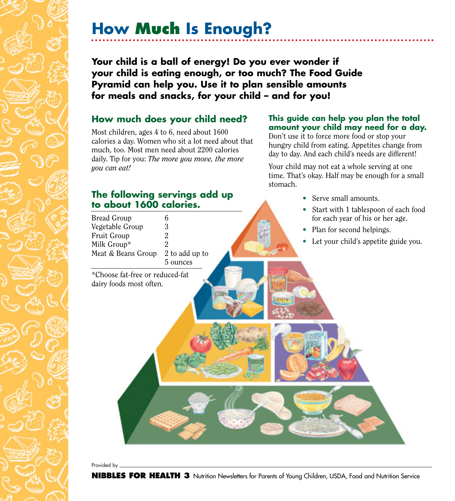# **How Much Is Enough?**

**Your child is a ball of energy! Do you ever wonder if your child is eating enough, or too much? The Food Guide Pyramid can help you. Use it to plan sensible amounts for meals and snacks, for your child – and for you!**

#### **How much does your child need?**

Most children, ages 4 to 6, need about 1600 calories a day. Women who sit a lot need about that much, too. Most men need about 2200 calories daily. Tip for you: *The more you move, the more you can eat!*

#### **The following servings add up to about 1600 calories.**

#### **amount your child may need for a day.** Don't use it to force more food or stop your

**This guide can help you plan the total**

hungry child from eating. Appetites change from day to day. And each child's needs are different!

Your child may not eat a whole serving at one time. That's okay. Half may be enough for a small stomach.

Bread Group 6<br>Vegetable Group 3 Vegetable Group Fruit Group 2 Milk Group\* 2 Meat & Beans Group 2 to add up to 5 ounces \*Choose fat-free or reduced-fat dairy foods most often. • Serve small amounts. • Start with 1 tablespoon of each food for each year of his or her age. • Plan for second helpings. • Let your child's appetite guide you.

Provided by